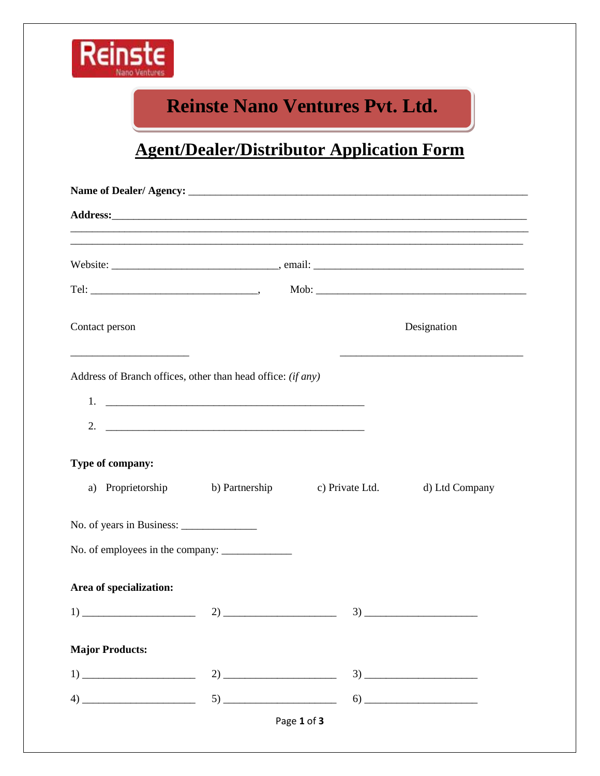

## **Reinste Nano Ventures Pvt. Ltd.**

# **Agent/Dealer/Distributor Application Form**

| Contact person                                                                                                                            | Designation                           |                 |                                      |  |
|-------------------------------------------------------------------------------------------------------------------------------------------|---------------------------------------|-----------------|--------------------------------------|--|
| the control of the control of the control of the control of the control of<br>Address of Branch offices, other than head office: (if any) |                                       |                 |                                      |  |
|                                                                                                                                           |                                       |                 |                                      |  |
|                                                                                                                                           |                                       |                 |                                      |  |
| Type of company:                                                                                                                          |                                       |                 |                                      |  |
|                                                                                                                                           | a) Proprietorship b) Partnership      | c) Private Ltd. | d) Ltd Company                       |  |
|                                                                                                                                           |                                       |                 |                                      |  |
|                                                                                                                                           |                                       |                 |                                      |  |
| Area of specialization:                                                                                                                   |                                       |                 |                                      |  |
| $\begin{tabular}{c} 1) \end{tabular}$                                                                                                     |                                       |                 | $\begin{array}{c} 3) \end{array}$    |  |
| <b>Major Products:</b>                                                                                                                    |                                       |                 |                                      |  |
| $\begin{tabular}{c} 1) \end{tabular}$                                                                                                     |                                       |                 | $\mathbf{3) \text{ \_\_} }$          |  |
|                                                                                                                                           | $\begin{tabular}{c} 5) \end{tabular}$ |                 | $\begin{array}{c} \n 6) \end{array}$ |  |
| $\left(4\right)$                                                                                                                          |                                       | Page 1 of 3     |                                      |  |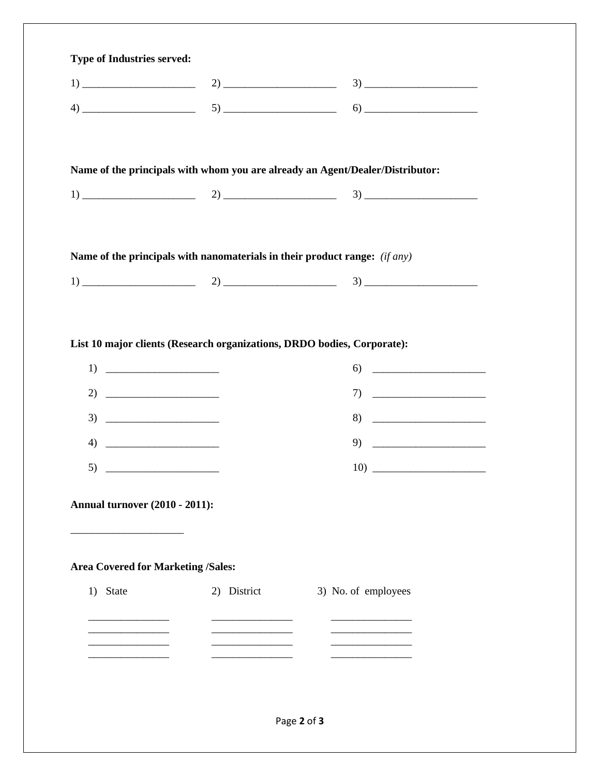| <b>Type of Industries served:</b>         |             |                                                                               |
|-------------------------------------------|-------------|-------------------------------------------------------------------------------|
|                                           |             |                                                                               |
|                                           |             |                                                                               |
|                                           |             |                                                                               |
|                                           |             |                                                                               |
|                                           |             | Name of the principals with whom you are already an Agent/Dealer/Distributor: |
|                                           |             |                                                                               |
|                                           |             |                                                                               |
|                                           |             |                                                                               |
|                                           |             | Name of the principals with nanomaterials in their product range: $(if any)$  |
|                                           |             |                                                                               |
|                                           |             |                                                                               |
|                                           |             |                                                                               |
|                                           |             | List 10 major clients (Research organizations, DRDO bodies, Corporate):       |
| $\begin{tabular}{c} 1) \end{tabular}$     |             | $\begin{array}{c}\n6) \end{array}$                                            |
| 2) $\qquad \qquad$                        |             | $\begin{tabular}{c} 7) \end{tabular}$                                         |
| $3) \t\underline{\hspace{1.5cm}}$         |             | $8) \t\begin{tabular}{c} \multicolumn{1}{c }{\textbf{5} } \end{tabular}$      |
|                                           |             | $\begin{tabular}{c} 9) \end{tabular}$                                         |
|                                           |             |                                                                               |
|                                           |             |                                                                               |
| <b>Annual turnover (2010 - 2011):</b>     |             |                                                                               |
|                                           |             |                                                                               |
|                                           |             |                                                                               |
| <b>Area Covered for Marketing /Sales:</b> |             |                                                                               |
| 1) State                                  | 2) District | 3) No. of employees                                                           |
|                                           |             |                                                                               |
|                                           |             |                                                                               |
|                                           |             |                                                                               |
|                                           |             |                                                                               |
|                                           |             |                                                                               |
|                                           |             |                                                                               |